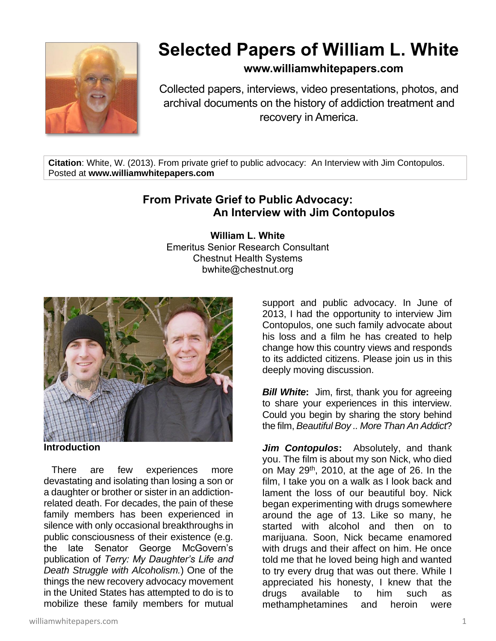

## **Selected Papers of William L. White**

## **www.williamwhitepapers.com**

Collected papers, interviews, video presentations, photos, and archival documents on the history of addiction treatment and recovery in America.

**Citation**: White, W. (2013). From private grief to public advocacy: An Interview with Jim Contopulos. Posted at **www.williamwhitepapers.com**

## **From Private Grief to Public Advocacy: An Interview with Jim Contopulos**

**William L. White** Emeritus Senior Research Consultant Chestnut Health Systems bwhite@chestnut.org



**Introduction**

 There are few experiences more devastating and isolating than losing a son or a daughter or brother or sister in an addictionrelated death. For decades, the pain of these family members has been experienced in silence with only occasional breakthroughs in public consciousness of their existence (e.g. the late Senator George McGovern's publication of *Terry: My Daughter's Life and Death Struggle with Alcoholism.*) One of the things the new recovery advocacy movement in the United States has attempted to do is to mobilize these family members for mutual

williamwhitepapers.com 1

support and public advocacy. In June of 2013, I had the opportunity to interview Jim Contopulos, one such family advocate about his loss and a film he has created to help change how this country views and responds to its addicted citizens. Please join us in this deeply moving discussion.

*Bill White*: Jim, first, thank you for agreeing to share your experiences in this interview. Could you begin by sharing the story behind the film, *Beautiful Boy .. More Than An Addict*?

*Jim Contopulos***:** Absolutely, and thank you. The film is about my son Nick, who died on May 29<sup>th</sup>, 2010, at the age of 26. In the film, I take you on a walk as I look back and lament the loss of our beautiful boy. Nick began experimenting with drugs somewhere around the age of 13. Like so many, he started with alcohol and then on to marijuana. Soon, Nick became enamored with drugs and their affect on him. He once told me that he loved being high and wanted to try every drug that was out there. While I appreciated his honesty, I knew that the drugs available to him such as methamphetamines and heroin were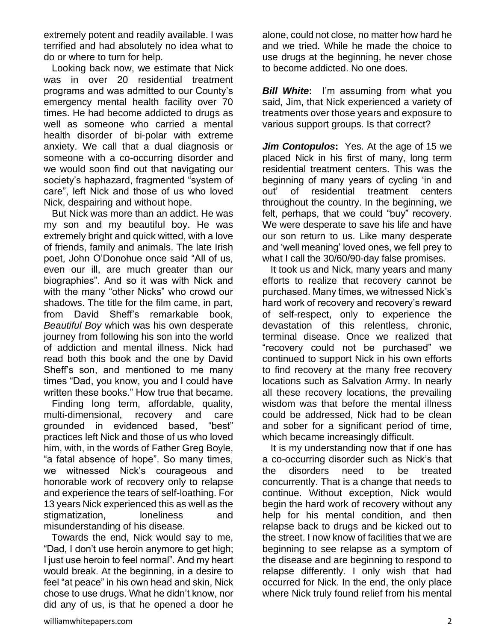extremely potent and readily available. I was terrified and had absolutely no idea what to do or where to turn for help.

 Looking back now, we estimate that Nick was in over 20 residential treatment programs and was admitted to our County's emergency mental health facility over 70 times. He had become addicted to drugs as well as someone who carried a mental health disorder of bi-polar with extreme anxiety. We call that a dual diagnosis or someone with a co-occurring disorder and we would soon find out that navigating our society's haphazard, fragmented "system of care", left Nick and those of us who loved Nick, despairing and without hope.

 But Nick was more than an addict. He was my son and my beautiful boy. He was extremely bright and quick witted, with a love of friends, family and animals. The late Irish poet, John O'Donohue once said "All of us, even our ill, are much greater than our biographies". And so it was with Nick and with the many "other Nicks" who crowd our shadows. The title for the film came, in part, from David Sheff's remarkable book, *Beautiful Boy* which was his own desperate journey from following his son into the world of addiction and mental illness. Nick had read both this book and the one by David Sheff's son, and mentioned to me many times "Dad, you know, you and I could have written these books." How true that became.

 Finding long term, affordable, quality, multi-dimensional, recovery and care grounded in evidenced based, "best" practices left Nick and those of us who loved him, with, in the words of Father Greg Boyle, "a fatal absence of hope". So many times, we witnessed Nick's courageous and honorable work of recovery only to relapse and experience the tears of self-loathing. For 13 years Nick experienced this as well as the stigmatization, loneliness and misunderstanding of his disease.

 Towards the end, Nick would say to me, "Dad, I don't use heroin anymore to get high; I just use heroin to feel normal". And my heart would break. At the beginning, in a desire to feel "at peace" in his own head and skin, Nick chose to use drugs. What he didn't know, nor did any of us, is that he opened a door he alone, could not close, no matter how hard he and we tried. While he made the choice to use drugs at the beginning, he never chose to become addicted. No one does.

*Bill White***:** I'm assuming from what you said, Jim, that Nick experienced a variety of treatments over those years and exposure to various support groups. Is that correct?

*Jim Contopulos***:** Yes. At the age of 15 we placed Nick in his first of many, long term residential treatment centers. This was the beginning of many years of cycling 'in and out' of residential treatment centers throughout the country. In the beginning, we felt, perhaps, that we could "buy" recovery. We were desperate to save his life and have our son return to us. Like many desperate and 'well meaning' loved ones, we fell prey to what I call the 30/60/90-day false promises.

 It took us and Nick, many years and many efforts to realize that recovery cannot be purchased. Many times, we witnessed Nick's hard work of recovery and recovery's reward of self-respect, only to experience the devastation of this relentless, chronic, terminal disease. Once we realized that "recovery could not be purchased" we continued to support Nick in his own efforts to find recovery at the many free recovery locations such as Salvation Army. In nearly all these recovery locations, the prevailing wisdom was that before the mental illness could be addressed, Nick had to be clean and sober for a significant period of time, which became increasingly difficult.

 It is my understanding now that if one has a co-occurring disorder such as Nick's that the disorders need to be treated concurrently. That is a change that needs to continue. Without exception, Nick would begin the hard work of recovery without any help for his mental condition, and then relapse back to drugs and be kicked out to the street. I now know of facilities that we are beginning to see relapse as a symptom of the disease and are beginning to respond to relapse differently. I only wish that had occurred for Nick. In the end, the only place where Nick truly found relief from his mental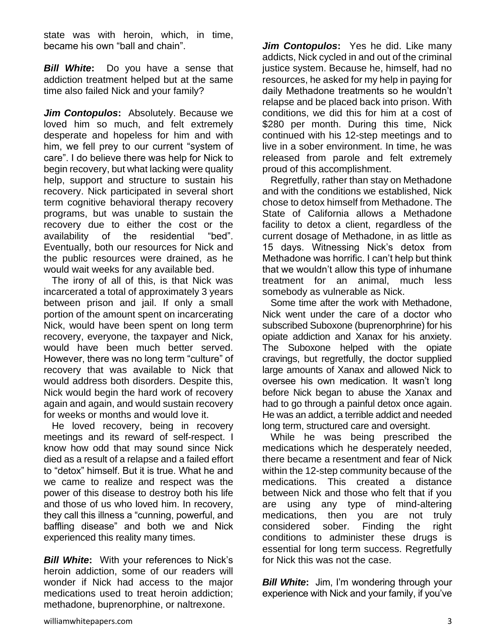state was with heroin, which, in time, became his own "ball and chain".

*Bill White***:** Do you have a sense that addiction treatment helped but at the same time also failed Nick and your family?

*Jim Contopulos***:** Absolutely. Because we loved him so much, and felt extremely desperate and hopeless for him and with him, we fell prey to our current "system of care". I do believe there was help for Nick to begin recovery, but what lacking were quality help, support and structure to sustain his recovery. Nick participated in several short term cognitive behavioral therapy recovery programs, but was unable to sustain the recovery due to either the cost or the availability of the residential "bed". Eventually, both our resources for Nick and the public resources were drained, as he would wait weeks for any available bed.

 The irony of all of this, is that Nick was incarcerated a total of approximately 3 years between prison and jail. If only a small portion of the amount spent on incarcerating Nick, would have been spent on long term recovery, everyone, the taxpayer and Nick, would have been much better served. However, there was no long term "culture" of recovery that was available to Nick that would address both disorders. Despite this, Nick would begin the hard work of recovery again and again, and would sustain recovery for weeks or months and would love it.

 He loved recovery, being in recovery meetings and its reward of self-respect. I know how odd that may sound since Nick died as a result of a relapse and a failed effort to "detox" himself. But it is true. What he and we came to realize and respect was the power of this disease to destroy both his life and those of us who loved him. In recovery, they call this illness a "cunning, powerful, and baffling disease" and both we and Nick experienced this reality many times.

*Bill White***:** With your references to Nick's heroin addiction, some of our readers will wonder if Nick had access to the major medications used to treat heroin addiction; methadone, buprenorphine, or naltrexone.

*Jim Contopulos***:** Yes he did. Like many addicts, Nick cycled in and out of the criminal justice system. Because he, himself, had no resources, he asked for my help in paying for daily Methadone treatments so he wouldn't relapse and be placed back into prison. With conditions, we did this for him at a cost of \$280 per month. During this time, Nick continued with his 12-step meetings and to live in a sober environment. In time, he was released from parole and felt extremely proud of this accomplishment.

 Regretfully, rather than stay on Methadone and with the conditions we established, Nick chose to detox himself from Methadone. The State of California allows a Methadone facility to detox a client, regardless of the current dosage of Methadone, in as little as 15 days. Witnessing Nick's detox from Methadone was horrific. I can't help but think that we wouldn't allow this type of inhumane treatment for an animal, much less somebody as vulnerable as Nick.

 Some time after the work with Methadone, Nick went under the care of a doctor who subscribed Suboxone (buprenorphrine) for his opiate addiction and Xanax for his anxiety. The Suboxone helped with the opiate cravings, but regretfully, the doctor supplied large amounts of Xanax and allowed Nick to oversee his own medication. It wasn't long before Nick began to abuse the Xanax and had to go through a painful detox once again. He was an addict, a terrible addict and needed long term, structured care and oversight.

 While he was being prescribed the medications which he desperately needed, there became a resentment and fear of Nick within the 12-step community because of the medications. This created a distance between Nick and those who felt that if you are using any type of mind-altering medications, then you are not truly considered sober. Finding the right conditions to administer these drugs is essential for long term success. Regretfully for Nick this was not the case.

*Bill White*: Jim, I'm wondering through your experience with Nick and your family, if you've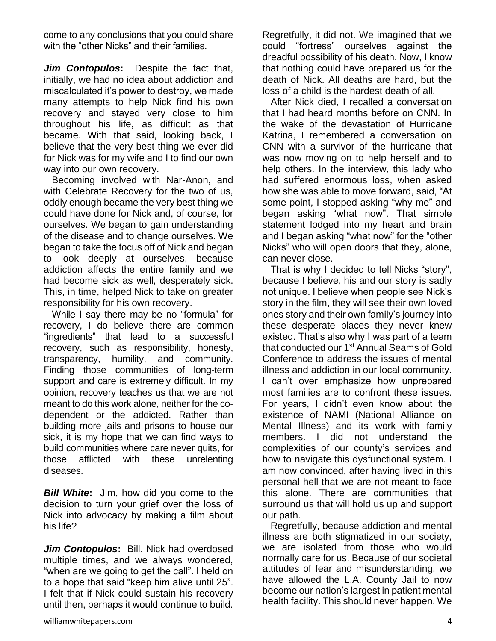come to any conclusions that you could share with the "other Nicks" and their families.

*Jim Contopulos***:** Despite the fact that, initially, we had no idea about addiction and miscalculated it's power to destroy, we made many attempts to help Nick find his own recovery and stayed very close to him throughout his life, as difficult as that became. With that said, looking back, I believe that the very best thing we ever did for Nick was for my wife and I to find our own way into our own recovery.

 Becoming involved with Nar-Anon, and with Celebrate Recovery for the two of us, oddly enough became the very best thing we could have done for Nick and, of course, for ourselves. We began to gain understanding of the disease and to change ourselves. We began to take the focus off of Nick and began to look deeply at ourselves, because addiction affects the entire family and we had become sick as well, desperately sick. This, in time, helped Nick to take on greater responsibility for his own recovery.

 While I say there may be no "formula" for recovery, I do believe there are common "ingredients" that lead to a successful recovery, such as responsibility, honesty, transparency, humility, and community. Finding those communities of long-term support and care is extremely difficult. In my opinion, recovery teaches us that we are not meant to do this work alone, neither for the codependent or the addicted. Rather than building more jails and prisons to house our sick, it is my hope that we can find ways to build communities where care never quits, for those afflicted with these unrelenting diseases.

*Bill White***:** Jim, how did you come to the decision to turn your grief over the loss of Nick into advocacy by making a film about his life?

*Jim Contopulos: Bill, Nick had overdosed* multiple times, and we always wondered, "when are we going to get the call". I held on to a hope that said "keep him alive until 25". I felt that if Nick could sustain his recovery until then, perhaps it would continue to build.

Regretfully, it did not. We imagined that we could "fortress" ourselves against the dreadful possibility of his death. Now, I know that nothing could have prepared us for the death of Nick. All deaths are hard, but the loss of a child is the hardest death of all.

 After Nick died, I recalled a conversation that I had heard months before on CNN. In the wake of the devastation of Hurricane Katrina, I remembered a conversation on CNN with a survivor of the hurricane that was now moving on to help herself and to help others. In the interview, this lady who had suffered enormous loss, when asked how she was able to move forward, said, "At some point, I stopped asking "why me" and began asking "what now". That simple statement lodged into my heart and brain and I began asking "what now" for the "other Nicks" who will open doors that they, alone, can never close.

 That is why I decided to tell Nicks "story", because I believe, his and our story is sadly not unique. I believe when people see Nick's story in the film, they will see their own loved ones story and their own family's journey into these desperate places they never knew existed. That's also why I was part of a team that conducted our 1<sup>st</sup> Annual Seams of Gold Conference to address the issues of mental illness and addiction in our local community. I can't over emphasize how unprepared most families are to confront these issues. For years, I didn't even know about the existence of NAMI (National Alliance on Mental Illness) and its work with family members. I did not understand the complexities of our county's services and how to navigate this dysfunctional system. I am now convinced, after having lived in this personal hell that we are not meant to face this alone. There are communities that surround us that will hold us up and support our path.

 Regretfully, because addiction and mental illness are both stigmatized in our society, we are isolated from those who would normally care for us. Because of our societal attitudes of fear and misunderstanding, we have allowed the L.A. County Jail to now become our nation's largest in patient mental health facility. This should never happen. We